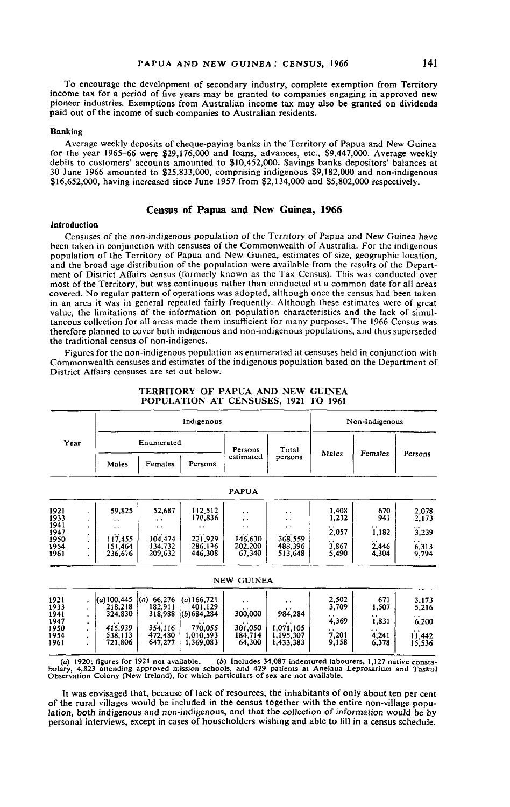To encourage the development of secondary industry, complete exemption from Territory income tax for a period of five years may be granted to companies engaging in approved new pioneer industries. Exemptions from Australian income tax may also be granted on dividends paid out of the income of such companies to Australian residents.

#### Banking

Average weekly deposits of cheque-paying banks in the Territory of Papua and New Guinea for the year 1965-66 were \$29,176,000 and loans, advances, etc., \$9,447,000. Average weekly debits to customers' accounts amounted to §10,452,000. Savings banks depositors' balances at 30 June 1966 amounted to \$25,833,000, comprising indigenous \$9,182,000 and non-indigenous §16,652,000, having increased since June 1957 from §2,134,000 and §5,802,000 respectively.

# Census of Papua and New Guinea, 1966

# Introduction

Censuses of the non-indigenous population of the Territory of Papua and New Guinea have been taken in conjunction with censuses of the Commonwealth of Australia. For the indigenous population of the Territory of Papua and New Guinea, estimates of size, geographic location, and the broad age distribution of the population were available from the results of the Department of District Affairs census (formerly known as the Tax Census). This was conducted over most of the Territory, but was continuous rather than conducted at a common date for all areas covered. No regular pattern of operations was adopted, although once the census had been taken in an area it was in general repeated fairly frequently. Although these estimates were of great value, the limitations of the information on population characteristics and the lack of simultaneous collection for all areas made them insufficient for many purposes. The 1966 Census was therefore planned to cover both indigenous and non-indigenous populations, and thus superseded the traditional census of non-indigenes.

Figures for the non-indigenous population as enumerated at censuses held in conjunction with Commonwealth censuses and estimates of the indigenous population based on the Department of District Affairs censuses are set out below.

|                      |        | Indigenous                       |                                  |                                          |                              |                                     | Non-Indigenous |                |                  |
|----------------------|--------|----------------------------------|----------------------------------|------------------------------------------|------------------------------|-------------------------------------|----------------|----------------|------------------|
| Year                 |        | Enumerated                       |                                  |                                          | Persons                      | Total                               |                |                |                  |
|                      |        | Males                            | Females                          | Persons                                  | estimated                    | persons                             | Males          | Females        | Persons          |
|                      |        |                                  |                                  |                                          | <b>PAPUA</b>                 |                                     |                |                |                  |
| 1921<br>1933         |        | 59,825                           | 52,687<br>$\cdot$ $\cdot$        | 112,512<br>170,836                       | . .<br>. .                   | . .<br>. .                          | 1,408<br>1,232 | 670<br>941     | 2,078<br>2,173   |
| 1941<br>1947         |        | $\ddot{\phantom{1}}$             | $\ddot{\phantom{1}}$             | $\cdot$ .                                | . .                          | . .                                 | 2,057          | 1,182          | 3,239            |
| 1950<br>1954<br>1961 | ٠<br>٠ | 117,455<br>151,464<br>236,676    | 104,474<br>134,732<br>209,632    | 221.929<br>286.196<br>446,308            | 146.630<br>202.200<br>67,340 | 368,559<br>488,396<br>513,648       | 3,867<br>5,490 | 2.446<br>4,304 | 6,313<br>9,794   |
|                      |        |                                  |                                  |                                          | <b>NEW GUINEA</b>            |                                     |                |                |                  |
| 1921<br>1933<br>1941 | ٠      | (a)100,445<br>218,218<br>324,830 | (a) 66,276<br>182,911<br>318,988 | $(a)$ 166,721<br>401.129<br>(b) 684, 284 | . .<br>300,000               | $\ddot{\phantom{0}}$<br>984,284     | 2.502<br>3,709 | 671<br>1,507   | 3.173<br>5,216   |
| 1947                 |        |                                  |                                  |                                          |                              |                                     | 4.369          | 1,831          | 6,200            |
| 1950<br>1954<br>1961 |        | 415.939<br>538.113<br>721,806    | 354.116<br>472.480<br>647,277    | 770,055<br>1.010.593<br>1,369,083        | 301.050<br>184.714<br>64,300 | 1,071,105<br>1.195.307<br>1,433,383 | 7.201<br>9,158 | 4.241<br>6,378 | 11,442<br>15.536 |

## TERRITORY OF PAPUA AND NEW GUINEA POPULATION AT CENSUSES, 1921 TO 1961

bulary, 4,823 attending approved mission schools, and 429 patients at Anelaua Leprosarium and Taskul Observation Colony (New Ireland), for which particulars of sex are not available.

It was envisaged that, because of lack of resources, the inhabitants of only about ten per cent of the rural villages would be included in the census together with the entire non-village population, both indigenous and non-indigenous, and that the collection of information would be by personal interviews, except in cases of householders wishing and able to fill in a census schedule.